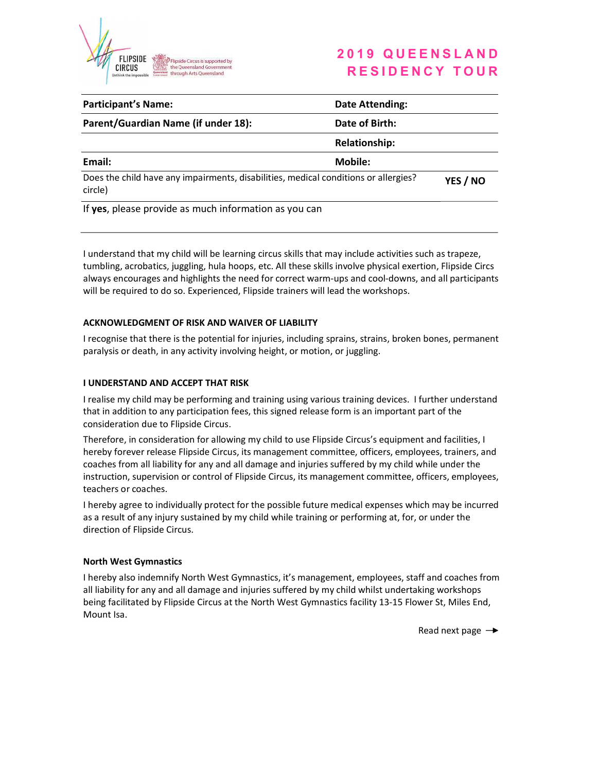

# 2019 QUEENSLAND RESIDENCY TOUR

| <b>Participant's Name:</b>                                                                     | <b>Date Attending:</b> |          |
|------------------------------------------------------------------------------------------------|------------------------|----------|
| Parent/Guardian Name (if under 18):                                                            | Date of Birth:         |          |
|                                                                                                | <b>Relationship:</b>   |          |
| Email:                                                                                         | Mobile:                |          |
| Does the child have any impairments, disabilities, medical conditions or allergies?<br>circle) |                        | YES / NO |
| If yes, please provide as much information as you can                                          |                        |          |

I understand that my child will be learning circus skills that may include activities such as trapeze, tumbling, acrobatics, juggling, hula hoops, etc. All these skills involve physical exertion, Flipside Circs always encourages and highlights the need for correct warm-ups and cool-downs, and all participants will be required to do so. Experienced, Flipside trainers will lead the workshops.

## ACKNOWLEDGMENT OF RISK AND WAIVER OF LIABILITY

I recognise that there is the potential for injuries, including sprains, strains, broken bones, permanent paralysis or death, in any activity involving height, or motion, or juggling.

## I UNDERSTAND AND ACCEPT THAT RISK

I realise my child may be performing and training using various training devices. I further understand that in addition to any participation fees, this signed release form is an important part of the consideration due to Flipside Circus.

Therefore, in consideration for allowing my child to use Flipside Circus's equipment and facilities, I hereby forever release Flipside Circus, its management committee, officers, employees, trainers, and coaches from all liability for any and all damage and injuries suffered by my child while under the instruction, supervision or control of Flipside Circus, its management committee, officers, employees, teachers or coaches.

I hereby agree to individually protect for the possible future medical expenses which may be incurred as a result of any injury sustained by my child while training or performing at, for, or under the direction of Flipside Circus.

## North West Gymnastics

I hereby also indemnify North West Gymnastics, it's management, employees, staff and coaches from all liability for any and all damage and injuries suffered by my child whilst undertaking workshops being facilitated by Flipside Circus at the North West Gymnastics facility 13-15 Flower St, Miles End, Mount Isa.

Read next page  $\rightarrow$